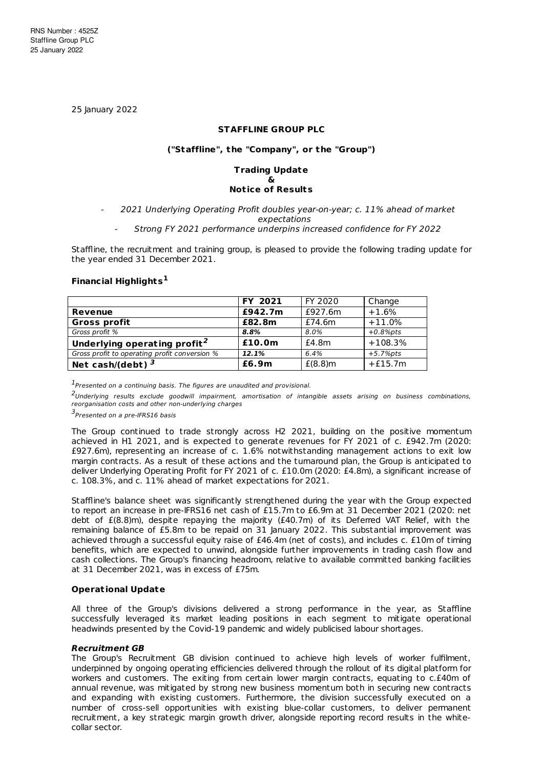25 January 2022

### **STAFFLINE GROUP PLC**

### **("Staffline", the "Company", or the "Group")**

#### **Trading Update & Not ice of Results**

# 2021 Underlying Operating Profit doubles year-on-year; c. 11% ahead of market expectations

# - Strong FY 2021 performance underpins increased confidence for FY 2022

Staffline, the recruitment and training group, is pleased to provide the following trading update for the year ended 31 December 2021.

### **Financial Highlights 1**

|                                               | FY 2021 | FY 2020    | Change      |
|-----------------------------------------------|---------|------------|-------------|
| Revenue                                       | £942.7m | £927.6m    | $+1.6%$     |
| <b>Gross profit</b>                           | £82.8m  | £74.6m     | $+11.0%$    |
| Gross profit %                                | 8.8%    | 8.0%       | $+0.8%$ pts |
| Underlying operating profit <sup>2</sup>      | £10.0m  | £4.8m      | $+108.3%$   |
| Gross profit to operating profit conversion % | 12.1%   | 6.4%       | $+5.7%$ pts |
| Net cash/(debt) $^3$                          | £6.9m   | $E(8.8)$ m | $+£15.7m$   |

 $<sup>1</sup>$ Presented on a continuing basis. The figures are unaudited and provisional.</sup>

<sup>2</sup>Underlying results exclude goodwill impairment, amortisation of intangible assets arising on business combinations, reorganisation costs and other non-underlying charges

3<br>Presented on a pre-IFRS16 basis

The Group continued to trade strongly across H2 2021, building on the positive momentum achieved in H1 2021, and is expected to generate revenues for FY 2021 of c. £942.7m (2020: £927.6m), representing an increase of c. 1.6% notwithstanding management actions to exit low margin contracts. As a result of these actions and the turnaround plan, the Group is anticipated to deliver Underlying Operating Profit for FY 2021 of c. £10.0m (2020: £4.8m), a significant increase of c. 108.3%, and c. 11% ahead of market expectations for 2021.

Staffline's balance sheet was significantly strengthened during the year with the Group expected to report an increase in pre-IFRS16 net cash of £15.7m to £6.9m at 31 December 2021 (2020: net debt of £(8.8)m), despite repaying the majority (£40.7m) of its Deferred VAT Relief, with the remaining balance of £5.8m to be repaid on 31 January 2022. This substantial improvement was achieved through a successful equity raise of £46.4m (net of costs), and includes c. £10m of timing benefits, which are expected to unwind, alongside further improvements in trading cash flow and cash collections. The Group's financing headroom, relative to available committed banking facilities at 31 December 2021, was in excess of £75m.

#### **Operat ional Update**

All three of the Group's divisions delivered a strong performance in the year, as Staffline successfully leveraged its market leading positions in each segment to mitigate operational headwinds presented by the Covid-19 pandemic and widely publicised labour shortages.

#### **Recruitment GB**

The Group's Recruitment GB division continued to achieve high levels of worker fulfilment, underpinned by ongoing operating efficiencies delivered through the rollout of its digital platform for workers and customers. The exiting from certain lower margin contracts, equating to c.£40m of annual revenue, was mitigated by strong new business momentum both in securing new contracts and expanding with existing customers. Furthermore, the division successfully executed on a number of cross-sell opportunities with existing blue-collar customers, to deliver permanent recruitment, a key strategic margin growth driver, alongside reporting record results in the whitecollar sector.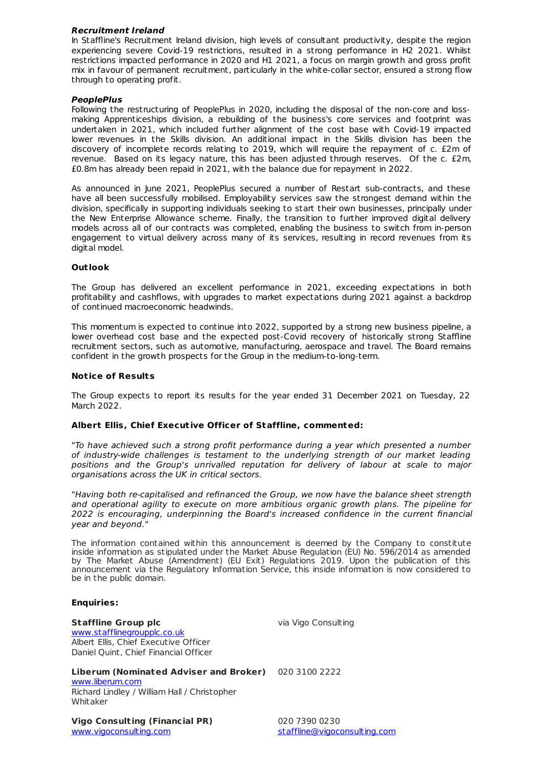### **Recruitment Ireland**

In Staffline's Recruitment Ireland division, high levels of consultant productivity, despite the region experiencing severe Covid-19 restrictions, resulted in a strong performance in H2 2021. Whilst restrictions impacted performance in 2020 and H1 2021, a focus on margin growth and gross profit mix in favour of permanent recruitment, particularly in the white-collar sector, ensured a strong flow through to operating profit.

# **PeoplePlus**

Following the restructuring of PeoplePlus in 2020, including the disposal of the non-core and loss making Apprenticeships division, a rebuilding of the business's core services and footprint was undertaken in 2021, which included further alignment of the cost base with Covid-19 impacted lower revenues in the Skills division. An additional impact in the Skills division has been the discovery of incomplete records relating to 2019, which will require the repayment of c. £2m of revenue. Based on its legacy nature, this has been adjusted through reserves. Of the c. £2m, £0.8m has already been repaid in 2021, with the balance due for repayment in 2022.

As announced in June 2021, PeoplePlus secured a number of Restart sub-contracts, and these have all been successfully mobilised. Employability services saw the strongest demand within the division, specifically in supporting individuals seeking to start their own businesses, principally under the New Enterprise Allowance scheme. Finally, the transition to further improved digital delivery models across all of our contracts was completed, enabling the business to switch from in-person engagement to virtual delivery across many of its services, resulting in record revenues from its digital model.

### **Out look**

The Group has delivered an excellent performance in 2021, exceeding expectations in both profitability and cashflows, with upgrades to market expectations during 2021 against a backdrop of continued macroeconomic headwinds.

This momentum is expected to continue into 2022, supported by a strong new business pipeline, a lower overhead cost base and the expected post-Covid recovery of historically strong Staffline recruitment sectors, such as automotive, manufacturing, aerospace and travel. The Board remains confident in the growth prospects for the Group in the medium-to-long-term.

### **Not ice of Results**

The Group expects to report its results for the year ended 31 December 2021 on Tuesday, 22 March 2022.

### **Albert Ellis, Chief Execut ive Officer of Staffline, commented:**

"To have achieved such a strong profit performance during a year which presented a number of industry-wide challenges is testament to the underlying strength of our market leading positions and the Group's unrivalled reputation for delivery of labour at scale to major organisations across the UK in critical sectors.

"Having both re-capitalised and refinanced the Group, we now have the balance sheet strength and operational agility to execute on more ambitious organic growth plans. The pipeline for 2022 is encouraging, underpinning the Board's increased confidence in the current financial year and beyond."

The information contained within this announcement is deemed by the Company to constitute inside information as stipulated under the Market Abuse Regulation (EU) No. 596/2014 as amended by The Market Abuse (Amendment) (EU Exit) Regulations 2019. Upon the publication of this announcement via the Regulatory Information Service, this inside information is now considered to be in the public domain.

### **Enquiries:**

**Staffline Group plc** [www.stafflinegroupplc.co.uk](http://www.stafflinegroupplc.co.uk/) Albert Ellis, Chief Executive Officer Daniel Quint, Chief Financial Officer via Vigo Consulting

**Liberum (Nominated Adviser and Broker)** 020 3100 2222 [www.liberum.com](http://www.liberum.com/)

Richard Lindley / William Hall / Christopher Whitaker

**Vigo Consult ing (Financial PR)** [www.vigoconsulting.com](http://www.vigoconsulting.com)

020 7390 0230 [staffline@vigoconsulting.com](mailto:staffline@vigoconsulting.com)